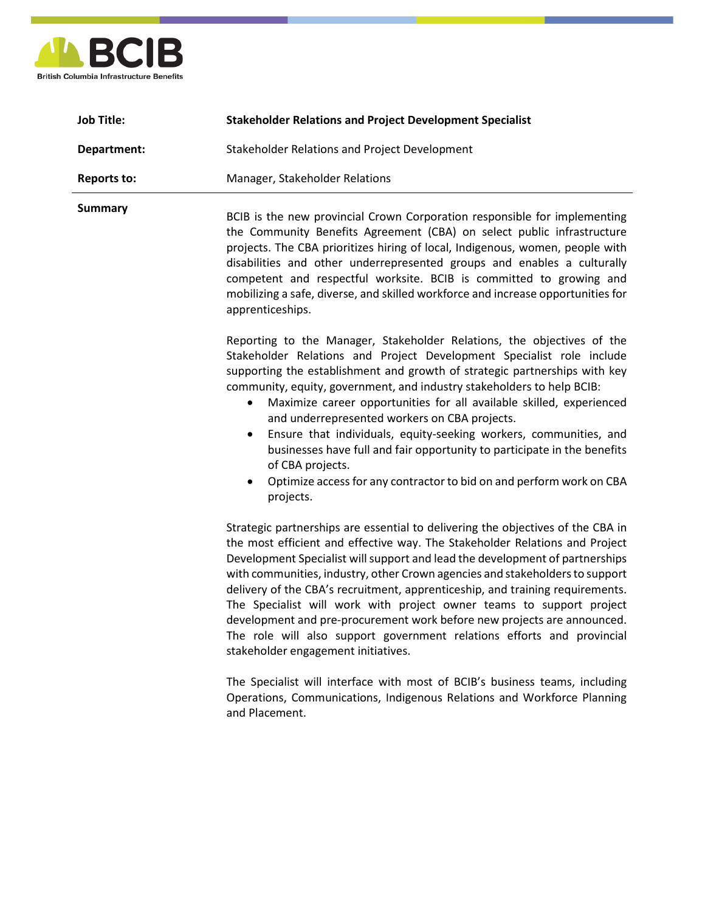

| <b>Job Title:</b>  | <b>Stakeholder Relations and Project Development Specialist</b>                                                                                                                                                                                                                                                                                                                                                                                                                                |
|--------------------|------------------------------------------------------------------------------------------------------------------------------------------------------------------------------------------------------------------------------------------------------------------------------------------------------------------------------------------------------------------------------------------------------------------------------------------------------------------------------------------------|
| Department:        | <b>Stakeholder Relations and Project Development</b>                                                                                                                                                                                                                                                                                                                                                                                                                                           |
| <b>Reports to:</b> | Manager, Stakeholder Relations                                                                                                                                                                                                                                                                                                                                                                                                                                                                 |
| <b>Summary</b>     | BCIB is the new provincial Crown Corporation responsible for implementing<br>the Community Benefits Agreement (CBA) on select public infrastructure<br>projects. The CBA prioritizes hiring of local, Indigenous, women, people with<br>disabilities and other underrepresented groups and enables a culturally<br>competent and respectful worksite. BCIB is committed to growing and<br>mobilizing a safe, diverse, and skilled workforce and increase opportunities for<br>apprenticeships. |

Reporting to the Manager, Stakeholder Relations, the objectives of the Stakeholder Relations and Project Development Specialist role include supporting the establishment and growth of strategic partnerships with key community, equity, government, and industry stakeholders to help BCIB:

- Maximize career opportunities for all available skilled, experienced and underrepresented workers on CBA projects.
- Ensure that individuals, equity-seeking workers, communities, and businesses have full and fair opportunity to participate in the benefits of CBA projects.
- Optimize access for any contractor to bid on and perform work on CBA projects.

Strategic partnerships are essential to delivering the objectives of the CBA in the most efficient and effective way. The Stakeholder Relations and Project Development Specialist will support and lead the development of partnerships with communities, industry, other Crown agencies and stakeholders to support delivery of the CBA's recruitment, apprenticeship, and training requirements. The Specialist will work with project owner teams to support project development and pre-procurement work before new projects are announced. The role will also support government relations efforts and provincial stakeholder engagement initiatives.

The Specialist will interface with most of BCIB's business teams, including Operations, Communications, Indigenous Relations and Workforce Planning and Placement.